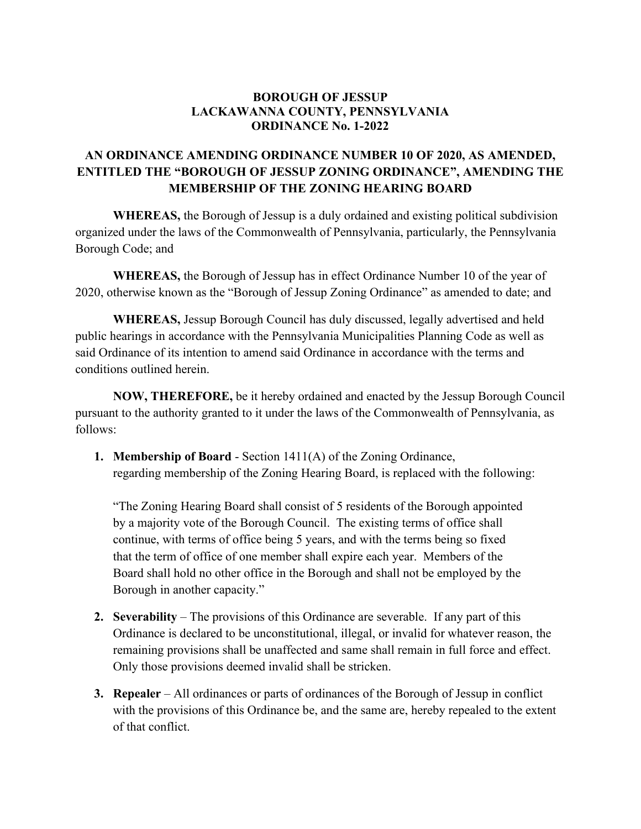## **BOROUGH OF JESSUP LACKAWANNA COUNTY, PENNSYLVANIA ORDINANCE No. 1-2022**

## **AN ORDINANCE AMENDING ORDINANCE NUMBER 10 OF 2020, AS AMENDED, ENTITLED THE "BOROUGH OF JESSUP ZONING ORDINANCE", AMENDING THE MEMBERSHIP OF THE ZONING HEARING BOARD**

**WHEREAS,** the Borough of Jessup is a duly ordained and existing political subdivision organized under the laws of the Commonwealth of Pennsylvania, particularly, the Pennsylvania Borough Code; and

**WHEREAS,** the Borough of Jessup has in effect Ordinance Number 10 of the year of 2020, otherwise known as the "Borough of Jessup Zoning Ordinance" as amended to date; and

**WHEREAS,** Jessup Borough Council has duly discussed, legally advertised and held public hearings in accordance with the Pennsylvania Municipalities Planning Code as well as said Ordinance of its intention to amend said Ordinance in accordance with the terms and conditions outlined herein.

**NOW, THEREFORE,** be it hereby ordained and enacted by the Jessup Borough Council pursuant to the authority granted to it under the laws of the Commonwealth of Pennsylvania, as follows:

**1. Membership of Board** - Section 1411(A) of the Zoning Ordinance, regarding membership of the Zoning Hearing Board, is replaced with the following:

"The Zoning Hearing Board shall consist of 5 residents of the Borough appointed by a majority vote of the Borough Council. The existing terms of office shall continue, with terms of office being 5 years, and with the terms being so fixed that the term of office of one member shall expire each year. Members of the Board shall hold no other office in the Borough and shall not be employed by the Borough in another capacity."

- **2. Severability** The provisions of this Ordinance are severable. If any part of this Ordinance is declared to be unconstitutional, illegal, or invalid for whatever reason, the remaining provisions shall be unaffected and same shall remain in full force and effect. Only those provisions deemed invalid shall be stricken.
- **3. Repealer** All ordinances or parts of ordinances of the Borough of Jessup in conflict with the provisions of this Ordinance be, and the same are, hereby repealed to the extent of that conflict.